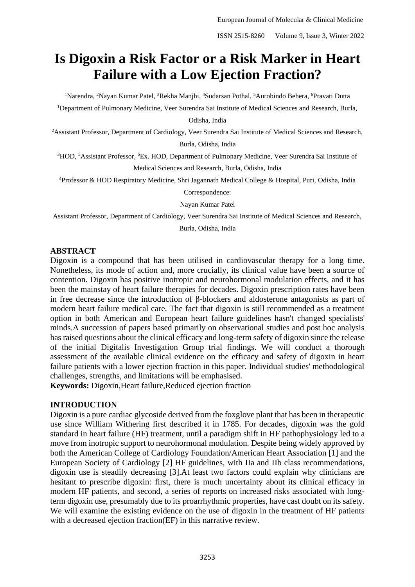# **Is Digoxin a Risk Factor or a Risk Marker in Heart Failure with a Low Ejection Fraction?**

<sup>1</sup>Narendra, <sup>2</sup>Nayan Kumar Patel, <sup>3</sup>Rekha Manihi, <sup>4</sup>Sudarsan Pothal, <sup>5</sup>Aurobindo Behera, <sup>6</sup>Pravati Dutta

<sup>1</sup>Department of Pulmonary Medicine, Veer Surendra Sai Institute of Medical Sciences and Research, Burla,

Odisha, India

<sup>2</sup>Assistant Professor, Department of Cardiology, Veer Surendra Sai Institute of Medical Sciences and Research, Burla, Odisha, India

<sup>3</sup>HOD, <sup>5</sup>Assistant Professor, <sup>6</sup>Ex. HOD, Department of Pulmonary Medicine, Veer Surendra Sai Institute of Medical Sciences and Research, Burla, Odisha, India

<sup>4</sup>Professor & HOD Respiratory Medicine, Shri Jagannath Medical College & Hospital, Puri, Odisha, India

Correspondence:

Nayan Kumar Patel

Assistant Professor, Department of Cardiology, Veer Surendra Sai Institute of Medical Sciences and Research,

Burla, Odisha, India

## **ABSTRACT**

Digoxin is a compound that has been utilised in cardiovascular therapy for a long time. Nonetheless, its mode of action and, more crucially, its clinical value have been a source of contention. Digoxin has positive inotropic and neurohormonal modulation effects, and it has been the mainstay of heart failure therapies for decades. Digoxin prescription rates have been in free decrease since the introduction of β-blockers and aldosterone antagonists as part of modern heart failure medical care. The fact that digoxin is still recommended as a treatment option in both American and European heart failure guidelines hasn't changed specialists' minds.A succession of papers based primarily on observational studies and post hoc analysis has raised questions about the clinical efficacy and long-term safety of digoxin since the release of the initial Digitalis Investigation Group trial findings. We will conduct a thorough assessment of the available clinical evidence on the efficacy and safety of digoxin in heart failure patients with a lower ejection fraction in this paper. Individual studies' methodological challenges, strengths, and limitations will be emphasised.

**Keywords:** Digoxin,Heart failure,Reduced ejection fraction

# **INTRODUCTION**

Digoxin is a pure cardiac glycoside derived from the foxglove plant that has been in therapeutic use since William Withering first described it in 1785. For decades, digoxin was the gold standard in heart failure (HF) treatment, until a paradigm shift in HF pathophysiology led to a move from inotropic support to neurohormonal modulation. Despite being widely approved by both the American College of Cardiology Foundation/American Heart Association [1] and the European Society of Cardiology [2] HF guidelines, with IIa and IIb class recommendations, digoxin use is steadily decreasing [3].At least two factors could explain why clinicians are hesitant to prescribe digoxin: first, there is much uncertainty about its clinical efficacy in modern HF patients, and second, a series of reports on increased risks associated with longterm digoxin use, presumably due to its proarrhythmic properties, have cast doubt on its safety. We will examine the existing evidence on the use of digoxin in the treatment of HF patients with a decreased ejection fraction(EF) in this narrative review.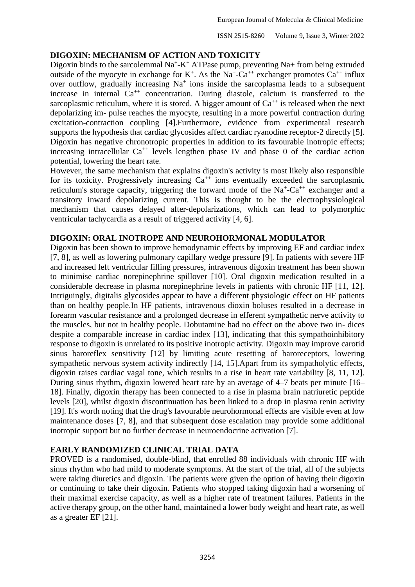#### **DIGOXIN: MECHANISM OF ACTION AND TOXICITY**

Digoxin binds to the sarcolemmal  $Na^+ - K^+$  ATPase pump, preventing  $Na+$  from being extruded outside of the myocyte in exchange for  $K^+$ . As the Na<sup>+</sup>-Ca<sup>++</sup> exchanger promotes Ca<sup>++</sup> influx over outflow, gradually increasing  $Na<sup>+</sup>$  ions inside the sarcoplasma leads to a subsequent increase in internal  $Ca^{++}$  concentration. During diastole, calcium is transferred to the sarcoplasmic reticulum, where it is stored. A bigger amount of  $Ca^{++}$  is released when the next depolarizing im- pulse reaches the myocyte, resulting in a more powerful contraction during excitation-contraction coupling [4].Furthermore, evidence from experimental research supports the hypothesis that cardiac glycosides affect cardiac ryanodine receptor-2 directly [5]. Digoxin has negative chronotropic properties in addition to its favourable inotropic effects; increasing intracellular  $Ca^{++}$  levels lengthen phase IV and phase 0 of the cardiac action potential, lowering the heart rate.

However, the same mechanism that explains digoxin's activity is most likely also responsible for its toxicity. Progressively increasing  $Ca^{++}$  ions eventually exceeded the sarcoplasmic reticulum's storage capacity, triggering the forward mode of the  $Na^+$ -Ca<sup>++</sup> exchanger and a transitory inward depolarizing current. This is thought to be the electrophysiological mechanism that causes delayed after-depolarizations, which can lead to polymorphic ventricular tachycardia as a result of triggered activity [4, 6].

#### **DIGOXIN: ORAL INOTROPE AND NEUROHORMONAL MODULATOR**

Digoxin has been shown to improve hemodynamic effects by improving EF and cardiac index [7, 8], as well as lowering pulmonary capillary wedge pressure [9]. In patients with severe HF and increased left ventricular filling pressures, intravenous digoxin treatment has been shown to minimise cardiac norepinephrine spillover [10]. Oral digoxin medication resulted in a considerable decrease in plasma norepinephrine levels in patients with chronic HF [11, 12]. Intriguingly, digitalis glycosides appear to have a different physiologic effect on HF patients than on healthy people.In HF patients, intravenous dioxin boluses resulted in a decrease in forearm vascular resistance and a prolonged decrease in efferent sympathetic nerve activity to the muscles, but not in healthy people. Dobutamine had no effect on the above two in- dices despite a comparable increase in cardiac index [13], indicating that this sympathoinhibitory response to digoxin is unrelated to its positive inotropic activity. Digoxin may improve carotid sinus baroreflex sensitivity [12] by limiting acute resetting of baroreceptors, lowering sympathetic nervous system activity indirectly [14, 15].Apart from its sympatholytic effects, digoxin raises cardiac vagal tone, which results in a rise in heart rate variability [8, 11, 12]. During sinus rhythm, digoxin lowered heart rate by an average of 4–7 beats per minute [16– 18]. Finally, digoxin therapy has been connected to a rise in plasma brain natriuretic peptide levels [20], whilst digoxin discontinuation has been linked to a drop in plasma renin activity [19]. It's worth noting that the drug's favourable neurohormonal effects are visible even at low maintenance doses [7, 8], and that subsequent dose escalation may provide some additional inotropic support but no further decrease in neuroendocrine activation [7].

## **EARLY RANDOMIZED CLINICAL TRIAL DATA**

PROVED is a randomised, double-blind, that enrolled 88 individuals with chronic HF with sinus rhythm who had mild to moderate symptoms. At the start of the trial, all of the subjects were taking diuretics and digoxin. The patients were given the option of having their digoxin or continuing to take their digoxin. Patients who stopped taking digoxin had a worsening of their maximal exercise capacity, as well as a higher rate of treatment failures. Patients in the active therapy group, on the other hand, maintained a lower body weight and heart rate, as well as a greater EF [21].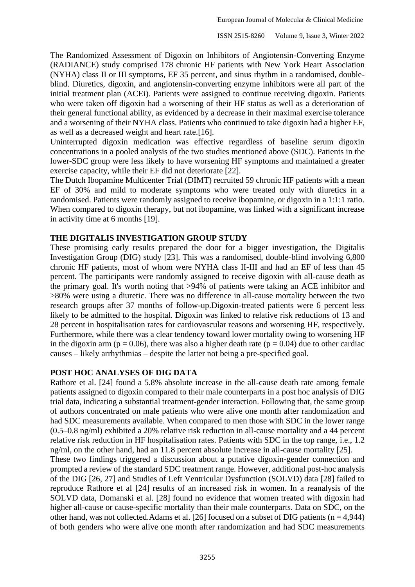The Randomized Assessment of Digoxin on Inhibitors of Angiotensin-Converting Enzyme (RADIANCE) study comprised 178 chronic HF patients with New York Heart Association (NYHA) class II or III symptoms, EF 35 percent, and sinus rhythm in a randomised, doubleblind. Diuretics, digoxin, and angiotensin-converting enzyme inhibitors were all part of the initial treatment plan (ACEi). Patients were assigned to continue receiving digoxin. Patients who were taken off digoxin had a worsening of their HF status as well as a deterioration of their general functional ability, as evidenced by a decrease in their maximal exercise tolerance and a worsening of their NYHA class. Patients who continued to take digoxin had a higher EF, as well as a decreased weight and heart rate.[16].

Uninterrupted digoxin medication was effective regardless of baseline serum digoxin concentrations in a pooled analysis of the two studies mentioned above (SDC). Patients in the lower-SDC group were less likely to have worsening HF symptoms and maintained a greater exercise capacity, while their EF did not deteriorate [22].

The Dutch Ibopamine Multicenter Trial (DIMT) recruited 59 chronic HF patients with a mean EF of 30% and mild to moderate symptoms who were treated only with diuretics in a randomised. Patients were randomly assigned to receive ibopamine, or digoxin in a 1:1:1 ratio. When compared to digoxin therapy, but not ibopamine, was linked with a significant increase in activity time at 6 months [19].

#### **THE DIGITALIS INVESTIGATION GROUP STUDY**

These promising early results prepared the door for a bigger investigation, the Digitalis Investigation Group (DIG) study [23]. This was a randomised, double-blind involving 6,800 chronic HF patients, most of whom were NYHA class II-III and had an EF of less than 45 percent. The participants were randomly assigned to receive digoxin with all-cause death as the primary goal. It's worth noting that >94% of patients were taking an ACE inhibitor and >80% were using a diuretic. There was no difference in all-cause mortality between the two research groups after 37 months of follow-up.Digoxin-treated patients were 6 percent less likely to be admitted to the hospital. Digoxin was linked to relative risk reductions of 13 and 28 percent in hospitalisation rates for cardiovascular reasons and worsening HF, respectively. Furthermore, while there was a clear tendency toward lower mortality owing to worsening HF in the digoxin arm ( $p = 0.06$ ), there was also a higher death rate ( $p = 0.04$ ) due to other cardiac causes – likely arrhythmias – despite the latter not being a pre-specified goal.

#### **POST HOC ANALYSES OF DIG DATA**

Rathore et al. [24] found a 5.8% absolute increase in the all-cause death rate among female patients assigned to digoxin compared to their male counterparts in a post hoc analysis of DIG trial data, indicating a substantial treatment-gender interaction. Following that, the same group of authors concentrated on male patients who were alive one month after randomization and had SDC measurements available. When compared to men those with SDC in the lower range (0.5–0.8 ng/ml) exhibited a 20% relative risk reduction in all-cause mortality and a 44 percent relative risk reduction in HF hospitalisation rates. Patients with SDC in the top range, i.e., 1.2 ng/ml, on the other hand, had an 11.8 percent absolute increase in all-cause mortality [25].

These two findings triggered a discussion about a putative digoxin-gender connection and prompted a review of the standard SDC treatment range. However, additional post-hoc analysis of the DIG [26, 27] and Studies of Left Ventricular Dysfunction (SOLVD) data [28] failed to reproduce Rathore et al [24] results of an increased risk in women. In a reanalysis of the SOLVD data, Domanski et al. [28] found no evidence that women treated with digoxin had higher all-cause or cause-specific mortality than their male counterparts. Data on SDC, on the other hand, was not collected. Adams et al. [26] focused on a subset of DIG patients ( $n = 4.944$ ) of both genders who were alive one month after randomization and had SDC measurements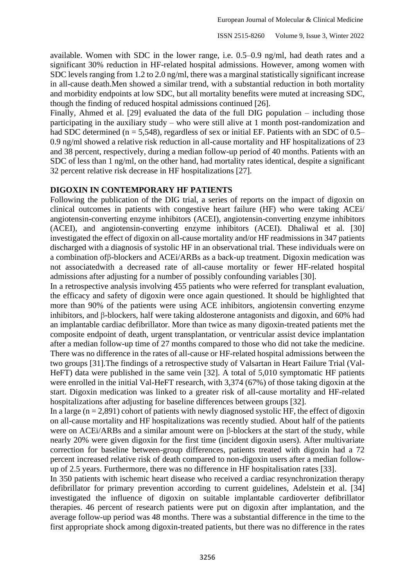available. Women with SDC in the lower range, i.e. 0.5–0.9 ng/ml, had death rates and a significant 30% reduction in HF-related hospital admissions. However, among women with SDC levels ranging from 1.2 to 2.0 ng/ml, there was a marginal statistically significant increase in all-cause death.Men showed a similar trend, with a substantial reduction in both mortality and morbidity endpoints at low SDC, but all mortality benefits were muted at increasing SDC, though the finding of reduced hospital admissions continued [26].

Finally, Ahmed et al. [29] evaluated the data of the full DIG population – including those participating in the auxiliary study – who were still alive at 1 month post-randomization and had SDC determined ( $n = 5,548$ ), regardless of sex or initial EF. Patients with an SDC of 0.5– 0.9 ng/ml showed a relative risk reduction in all-cause mortality and HF hospitalizations of 23 and 38 percent, respectively, during a median follow-up period of 40 months. Patients with an SDC of less than 1 ng/ml, on the other hand, had mortality rates identical, despite a significant 32 percent relative risk decrease in HF hospitalizations [27].

#### **DIGOXIN IN CONTEMPORARY HF PATIENTS**

Following the publication of the DIG trial, a series of reports on the impact of digoxin on clinical outcomes in patients with congestive heart failure (HF) who were taking ACEi/ angiotensin-converting enzyme inhibitors (ACEI), angiotensin-converting enzyme inhibitors (ACEI), and angiotensin-converting enzyme inhibitors (ACEI). Dhaliwal et al. [30] investigated the effect of digoxin on all-cause mortality and/or HF readmissions in 347 patients discharged with a diagnosis of systolic HF in an observational trial. These individuals were on a combination ofβ-blockers and ACEi/ARBs as a back-up treatment. Digoxin medication was not associatedwith a decreased rate of all-cause mortality or fewer HF-related hospital admissions after adjusting for a number of possibly confounding variables [30].

In a retrospective analysis involving 455 patients who were referred for transplant evaluation, the efficacy and safety of digoxin were once again questioned. It should be highlighted that more than 90% of the patients were using ACE inhibitors, angiotensin converting enzyme inhibitors, and β-blockers, half were taking aldosterone antagonists and digoxin, and 60% had an implantable cardiac defibrillator. More than twice as many digoxin-treated patients met the composite endpoint of death, urgent transplantation, or ventricular assist device implantation after a median follow-up time of 27 months compared to those who did not take the medicine. There was no difference in the rates of all-cause or HF-related hospital admissions between the two groups [31].The findings of a retrospective study of Valsartan in Heart Failure Trial (Val-HeFT) data were published in the same vein [32]. A total of 5,010 symptomatic HF patients were enrolled in the initial Val-HeFT research, with 3,374 (67%) of those taking digoxin at the start. Digoxin medication was linked to a greater risk of all-cause mortality and HF-related hospitalizations after adjusting for baseline differences between groups [32].

In a large  $(n = 2,891)$  cohort of patients with newly diagnosed systolic HF, the effect of digoxin on all-cause mortality and HF hospitalizations was recently studied. About half of the patients were on ACEi/ARBs and a similar amount were on β-blockers at the start of the study, while nearly 20% were given digoxin for the first time (incident digoxin users). After multivariate correction for baseline between-group differences, patients treated with digoxin had a 72 percent increased relative risk of death compared to non-digoxin users after a median followup of 2.5 years. Furthermore, there was no difference in HF hospitalisation rates [33].

In 350 patients with ischemic heart disease who received a cardiac resynchronization therapy defibrillator for primary prevention according to current guidelines, Adelstein et al. [34] investigated the influence of digoxin on suitable implantable cardioverter defibrillator therapies. 46 percent of research patients were put on digoxin after implantation, and the average follow-up period was 48 months. There was a substantial difference in the time to the first appropriate shock among digoxin-treated patients, but there was no difference in the rates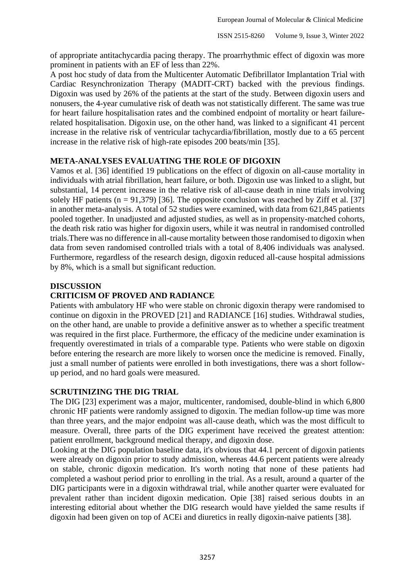of appropriate antitachycardia pacing therapy. The proarrhythmic effect of digoxin was more prominent in patients with an EF of less than 22%.

A post hoc study of data from the Multicenter Automatic Defibrillator Implantation Trial with Cardiac Resynchronization Therapy (MADIT-CRT) backed with the previous findings. Digoxin was used by 26% of the patients at the start of the study. Between digoxin users and nonusers, the 4-year cumulative risk of death was not statistically different. The same was true for heart failure hospitalisation rates and the combined endpoint of mortality or heart failurerelated hospitalisation. Digoxin use, on the other hand, was linked to a significant 41 percent increase in the relative risk of ventricular tachycardia/fibrillation, mostly due to a 65 percent increase in the relative risk of high-rate episodes 200 beats/min [35].

# **META-ANALYSES EVALUATING THE ROLE OF DIGOXIN**

Vamos et al. [36] identified 19 publications on the effect of digoxin on all-cause mortality in individuals with atrial fibrillation, heart failure, or both. Digoxin use was linked to a slight, but substantial, 14 percent increase in the relative risk of all-cause death in nine trials involving solely HF patients ( $n = 91,379$ ) [36]. The opposite conclusion was reached by Ziff et al. [37] in another meta-analysis. A total of 52 studies were examined, with data from 621,845 patients pooled together. In unadjusted and adjusted studies, as well as in propensity-matched cohorts, the death risk ratio was higher for digoxin users, while it was neutral in randomised controlled trials.There was no difference in all-cause mortality between those randomised to digoxin when data from seven randomised controlled trials with a total of 8,406 individuals was analysed. Furthermore, regardless of the research design, digoxin reduced all-cause hospital admissions by 8%, which is a small but significant reduction.

## **DISCUSSION**

# **CRITICISM OF PROVED AND RADIANCE**

Patients with ambulatory HF who were stable on chronic digoxin therapy were randomised to continue on digoxin in the PROVED [21] and RADIANCE [16] studies. Withdrawal studies, on the other hand, are unable to provide a definitive answer as to whether a specific treatment was required in the first place. Furthermore, the efficacy of the medicine under examination is frequently overestimated in trials of a comparable type. Patients who were stable on digoxin before entering the research are more likely to worsen once the medicine is removed. Finally, just a small number of patients were enrolled in both investigations, there was a short followup period, and no hard goals were measured.

## **SCRUTINIZING THE DIG TRIAL**

The DIG [23] experiment was a major, multicenter, randomised, double-blind in which 6,800 chronic HF patients were randomly assigned to digoxin. The median follow-up time was more than three years, and the major endpoint was all-cause death, which was the most difficult to measure. Overall, three parts of the DIG experiment have received the greatest attention: patient enrollment, background medical therapy, and digoxin dose.

Looking at the DIG population baseline data, it's obvious that 44.1 percent of digoxin patients were already on digoxin prior to study admission, whereas 44.6 percent patients were already on stable, chronic digoxin medication. It's worth noting that none of these patients had completed a washout period prior to enrolling in the trial. As a result, around a quarter of the DIG participants were in a digoxin withdrawal trial, while another quarter were evaluated for prevalent rather than incident digoxin medication. Opie [38] raised serious doubts in an interesting editorial about whether the DIG research would have yielded the same results if digoxin had been given on top of ACEi and diuretics in really digoxin-naive patients [38].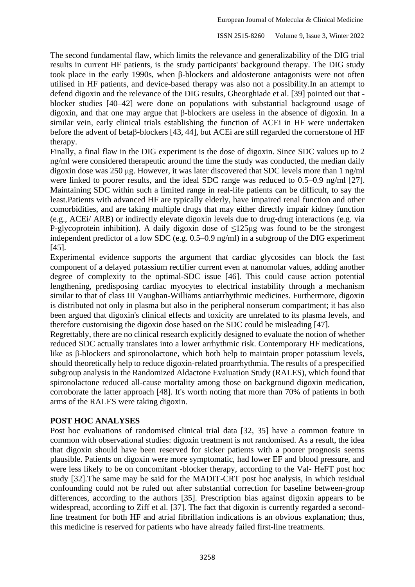The second fundamental flaw, which limits the relevance and generalizability of the DIG trial results in current HF patients, is the study participants' background therapy. The DIG study took place in the early 1990s, when β-blockers and aldosterone antagonists were not often utilised in HF patients, and device-based therapy was also not a possibility.In an attempt to defend digoxin and the relevance of the DIG results, Gheorghiade et al. [39] pointed out that blocker studies [40–42] were done on populations with substantial background usage of digoxin, and that one may argue that β-blockers are useless in the absence of digoxin. In a similar vein, early clinical trials establishing the function of ACEi in HF were undertaken before the advent of betaβ-blockers [43, 44], but ACEi are still regarded the cornerstone of HF therapy.

Finally, a final flaw in the DIG experiment is the dose of digoxin. Since SDC values up to 2 ng/ml were considered therapeutic around the time the study was conducted, the median daily digoxin dose was 250 μg. However, it was later discovered that SDC levels more than 1 ng/ml were linked to poorer results, and the ideal SDC range was reduced to 0.5–0.9 ng/ml [27]. Maintaining SDC within such a limited range in real-life patients can be difficult, to say the least.Patients with advanced HF are typically elderly, have impaired renal function and other comorbidities, and are taking multiple drugs that may either directly impair kidney function (e.g., ACEi/ ARB) or indirectly elevate digoxin levels due to drug-drug interactions (e.g. via P-glycoprotein inhibition). A daily digoxin dose of  $\leq 125 \mu$ g was found to be the strongest independent predictor of a low SDC (e.g. 0.5–0.9 ng/ml) in a subgroup of the DIG experiment [45].

Experimental evidence supports the argument that cardiac glycosides can block the fast component of a delayed potassium rectifier current even at nanomolar values, adding another degree of complexity to the optimal-SDC issue [46]. This could cause action potential lengthening, predisposing cardiac myocytes to electrical instability through a mechanism similar to that of class III Vaughan-Williams antiarrhythmic medicines. Furthermore, digoxin is distributed not only in plasma but also in the peripheral nonserum compartment; it has also been argued that digoxin's clinical effects and toxicity are unrelated to its plasma levels, and therefore customising the digoxin dose based on the SDC could be misleading [47].

Regrettably, there are no clinical research explicitly designed to evaluate the notion of whether reduced SDC actually translates into a lower arrhythmic risk. Contemporary HF medications, like as β-blockers and spironolactone, which both help to maintain proper potassium levels, should theoretically help to reduce digoxin-related proarrhythmia. The results of a prespecified subgroup analysis in the Randomized Aldactone Evaluation Study (RALES), which found that spironolactone reduced all-cause mortality among those on background digoxin medication, corroborate the latter approach [48]. It's worth noting that more than 70% of patients in both arms of the RALES were taking digoxin.

# **POST HOC ANALYSES**

Post hoc evaluations of randomised clinical trial data [32, 35] have a common feature in common with observational studies: digoxin treatment is not randomised. As a result, the idea that digoxin should have been reserved for sicker patients with a poorer prognosis seems plausible. Patients on digoxin were more symptomatic, had lower EF and blood pressure, and were less likely to be on concomitant -blocker therapy, according to the Val- HeFT post hoc study [32].The same may be said for the MADIT-CRT post hoc analysis, in which residual confounding could not be ruled out after substantial correction for baseline between-group differences, according to the authors [35]. Prescription bias against digoxin appears to be widespread, according to Ziff et al. [37]. The fact that digoxin is currently regarded a secondline treatment for both HF and atrial fibrillation indications is an obvious explanation; thus, this medicine is reserved for patients who have already failed first-line treatments.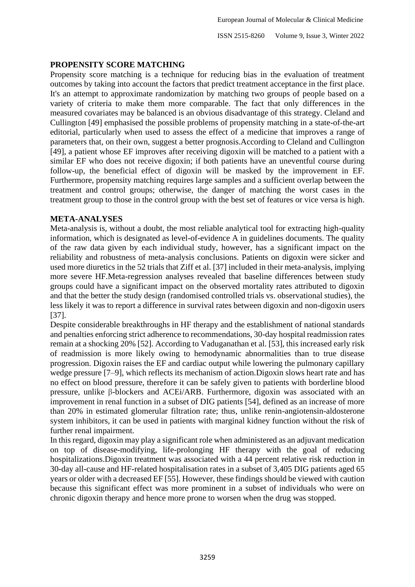## **PROPENSITY SCORE MATCHING**

Propensity score matching is a technique for reducing bias in the evaluation of treatment outcomes by taking into account the factors that predict treatment acceptance in the first place. It's an attempt to approximate randomization by matching two groups of people based on a variety of criteria to make them more comparable. The fact that only differences in the measured covariates may be balanced is an obvious disadvantage of this strategy. Cleland and Cullington [49] emphasised the possible problems of propensity matching in a state-of-the-art editorial, particularly when used to assess the effect of a medicine that improves a range of parameters that, on their own, suggest a better prognosis.According to Cleland and Cullington [49], a patient whose EF improves after receiving digoxin will be matched to a patient with a similar EF who does not receive digoxin; if both patients have an uneventful course during follow-up, the beneficial effect of digoxin will be masked by the improvement in EF. Furthermore, propensity matching requires large samples and a sufficient overlap between the treatment and control groups; otherwise, the danger of matching the worst cases in the treatment group to those in the control group with the best set of features or vice versa is high.

## **META-ANALYSES**

Meta-analysis is, without a doubt, the most reliable analytical tool for extracting high-quality information, which is designated as level-of-evidence A in guidelines documents. The quality of the raw data given by each individual study, however, has a significant impact on the reliability and robustness of meta-analysis conclusions. Patients on digoxin were sicker and used more diuretics in the 52 trials that Ziff et al. [37] included in their meta-analysis, implying more severe HF.Meta-regression analyses revealed that baseline differences between study groups could have a significant impact on the observed mortality rates attributed to digoxin and that the better the study design (randomised controlled trials vs. observational studies), the less likely it was to report a difference in survival rates between digoxin and non-digoxin users [37].

Despite considerable breakthroughs in HF therapy and the establishment of national standards and penalties enforcing strict adherence to recommendations, 30-day hospital readmission rates remain at a shocking 20% [52]. According to Vaduganathan et al. [53], this increased early risk of readmission is more likely owing to hemodynamic abnormalities than to true disease progression. Digoxin raises the EF and cardiac output while lowering the pulmonary capillary wedge pressure [7–9], which reflects its mechanism of action.Digoxin slows heart rate and has no effect on blood pressure, therefore it can be safely given to patients with borderline blood pressure, unlike β-blockers and ACEi/ARB. Furthermore, digoxin was associated with an improvement in renal function in a subset of DIG patients [54], defined as an increase of more than 20% in estimated glomerular filtration rate; thus, unlike renin-angiotensin-aldosterone system inhibitors, it can be used in patients with marginal kidney function without the risk of further renal impairment.

In this regard, digoxin may play a significant role when administered as an adjuvant medication on top of disease-modifying, life-prolonging HF therapy with the goal of reducing hospitalizations.Digoxin treatment was associated with a 44 percent relative risk reduction in 30-day all-cause and HF-related hospitalisation rates in a subset of 3,405 DIG patients aged 65 years or older with a decreased EF [55]. However, these findings should be viewed with caution because this significant effect was more prominent in a subset of individuals who were on chronic digoxin therapy and hence more prone to worsen when the drug was stopped.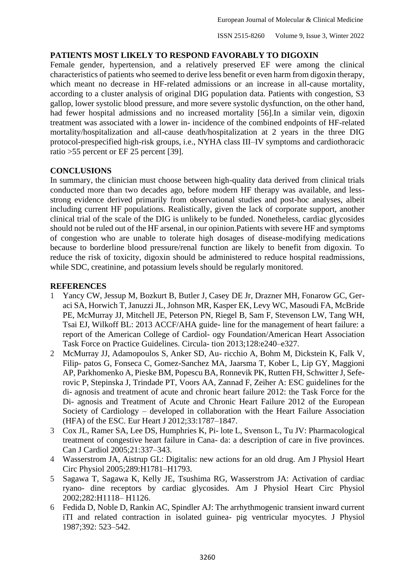# **PATIENTS MOST LIKELY TO RESPOND FAVORABLY TO DIGOXIN**

Female gender, hypertension, and a relatively preserved EF were among the clinical characteristics of patients who seemed to derive less benefit or even harm from digoxin therapy, which meant no decrease in HF-related admissions or an increase in all-cause mortality, according to a cluster analysis of original DIG population data. Patients with congestion, S3 gallop, lower systolic blood pressure, and more severe systolic dysfunction, on the other hand, had fewer hospital admissions and no increased mortality [56].In a similar vein, digoxin treatment was associated with a lower in- incidence of the combined endpoints of HF-related mortality/hospitalization and all-cause death/hospitalization at 2 years in the three DIG protocol-prespecified high-risk groups, i.e., NYHA class III–IV symptoms and cardiothoracic ratio >55 percent or EF 25 percent [39].

## **CONCLUSIONS**

In summary, the clinician must choose between high-quality data derived from clinical trials conducted more than two decades ago, before modern HF therapy was available, and lessstrong evidence derived primarily from observational studies and post-hoc analyses, albeit including current HF populations. Realistically, given the lack of corporate support, another clinical trial of the scale of the DIG is unlikely to be funded. Nonetheless, cardiac glycosides should not be ruled out of the HF arsenal, in our opinion.Patients with severe HF and symptoms of congestion who are unable to tolerate high dosages of disease-modifying medications because to borderline blood pressure/renal function are likely to benefit from digoxin. To reduce the risk of toxicity, digoxin should be administered to reduce hospital readmissions, while SDC, creatinine, and potassium levels should be regularly monitored.

## **REFERENCES**

- 1 Yancy CW, Jessup M, Bozkurt B, Butler J, Casey DE Jr, Drazner MH, Fonarow GC, Geraci SA, Horwich T, Januzzi JL, Johnson MR, Kasper EK, Levy WC, Masoudi FA, McBride PE, McMurray JJ, Mitchell JE, Peterson PN, Riegel B, Sam F, Stevenson LW, Tang WH, Tsai EJ, Wilkoff BL: 2013 ACCF/AHA guide- line for the management of heart failure: a report of the American College of Cardiol- ogy Foundation/American Heart Association Task Force on Practice Guidelines. Circula- tion 2013;128:e240–e327.
- 2 McMurray JJ, Adamopoulos S, Anker SD, Au- ricchio A, Bohm M, Dickstein K, Falk V, Filip- patos G, Fonseca C, Gomez-Sanchez MA, Jaarsma T, Kober L, Lip GY, Maggioni AP, Parkhomenko A, Pieske BM, Popescu BA, Ronnevik PK, Rutten FH, Schwitter J, Seferovic P, Stepinska J, Trindade PT, Voors AA, Zannad F, Zeiher A: ESC guidelines for the di- agnosis and treatment of acute and chronic heart failure 2012: the Task Force for the Di- agnosis and Treatment of Acute and Chronic Heart Failure 2012 of the European Society of Cardiology – developed in collaboration with the Heart Failure Association (HFA) of the ESC. Eur Heart J 2012;33:1787–1847.
- 3 Cox JL, Ramer SA, Lee DS, Humphries K, Pi- lote L, Svenson L, Tu JV: Pharmacological treatment of congestive heart failure in Cana- da: a description of care in five provinces. Can J Cardiol 2005;21:337–343.
- 4 Wasserstrom JA, Aistrup GL: Digitalis: new actions for an old drug. Am J Physiol Heart Circ Physiol 2005;289:H1781–H1793.
- 5 Sagawa T, Sagawa K, Kelly JE, Tsushima RG, Wasserstrom JA: Activation of cardiac ryano- dine receptors by cardiac glycosides. Am J Physiol Heart Circ Physiol 2002;282:H1118– H1126.
- 6 Fedida D, Noble D, Rankin AC, Spindler AJ: The arrhythmogenic transient inward current iTI and related contraction in isolated guinea- pig ventricular myocytes. J Physiol 1987;392: 523–542.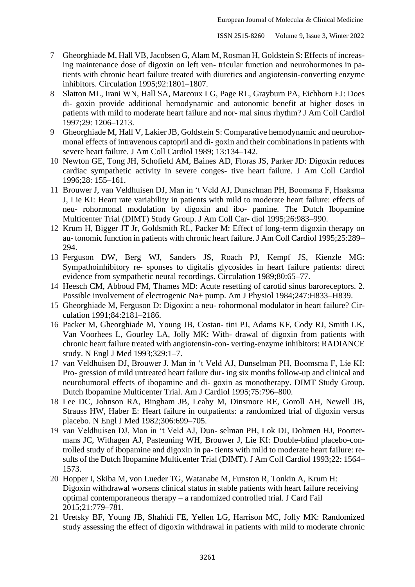- 7 Gheorghiade M, Hall VB, Jacobsen G, Alam M, Rosman H, Goldstein S: Effects of increasing maintenance dose of digoxin on left ven- tricular function and neurohormones in patients with chronic heart failure treated with diuretics and angiotensin-converting enzyme inhibitors. Circulation 1995;92:1801–1807.
- 8 Slatton ML, Irani WN, Hall SA, Marcoux LG, Page RL, Grayburn PA, Eichhorn EJ: Does di- goxin provide additional hemodynamic and autonomic benefit at higher doses in patients with mild to moderate heart failure and nor- mal sinus rhythm? J Am Coll Cardiol 1997;29: 1206–1213.
- 9 Gheorghiade M, Hall V, Lakier JB, Goldstein S: Comparative hemodynamic and neurohormonal effects of intravenous captopril and di- goxin and their combinations in patients with severe heart failure. J Am Coll Cardiol 1989; 13:134–142.
- 10 Newton GE, Tong JH, Schofield AM, Baines AD, Floras JS, Parker JD: Digoxin reduces cardiac sympathetic activity in severe conges- tive heart failure. J Am Coll Cardiol 1996;28: 155–161.
- 11 Brouwer J, van Veldhuisen DJ, Man in 't Veld AJ, Dunselman PH, Boomsma F, Haaksma J, Lie KI: Heart rate variability in patients with mild to moderate heart failure: effects of neu- rohormonal modulation by digoxin and ibo- pamine. The Dutch Ibopamine Multicenter Trial (DIMT) Study Group. J Am Coll Car- diol 1995;26:983–990.
- 12 Krum H, Bigger JT Jr, Goldsmith RL, Packer M: Effect of long-term digoxin therapy on au- tonomic function in patients with chronic heart failure. J Am Coll Cardiol 1995;25:289– 294.
- 13 Ferguson DW, Berg WJ, Sanders JS, Roach PJ, Kempf JS, Kienzle MG: Sympathoinhibitory re- sponses to digitalis glycosides in heart failure patients: direct evidence from sympathetic neural recordings. Circulation 1989;80:65–77.
- 14 Heesch CM, Abboud FM, Thames MD: Acute resetting of carotid sinus baroreceptors. 2. Possible involvement of electrogenic Na+ pump. Am J Physiol 1984;247:H833–H839.
- 15 Gheorghiade M, Ferguson D: Digoxin: a neu- rohormonal modulator in heart failure? Circulation 1991;84:2181–2186.
- 16 Packer M, Gheorghiade M, Young JB, Costan- tini PJ, Adams KF, Cody RJ, Smith LK, Van Voorhees L, Gourley LA, Jolly MK: With- drawal of digoxin from patients with chronic heart failure treated with angiotensin-con- verting-enzyme inhibitors: RADIANCE study. N Engl J Med 1993;329:1–7.
- 17 van Veldhuisen DJ, Brouwer J, Man in 't Veld AJ, Dunselman PH, Boomsma F, Lie KI: Pro- gression of mild untreated heart failure dur- ing six months follow-up and clinical and neurohumoral effects of ibopamine and di- goxin as monotherapy. DIMT Study Group. Dutch Ibopamine Multicenter Trial. Am J Cardiol 1995;75:796–800.
- 18 Lee DC, Johnson RA, Bingham JB, Leahy M, Dinsmore RE, Goroll AH, Newell JB, Strauss HW, Haber E: Heart failure in outpatients: a randomized trial of digoxin versus placebo. N Engl J Med 1982;306:699–705.
- 19 van Veldhuisen DJ, Man in 't Veld AJ, Dun- selman PH, Lok DJ, Dohmen HJ, Poortermans JC, Withagen AJ, Pasteuning WH, Brouwer J, Lie KI: Double-blind placebo-controlled study of ibopamine and digoxin in pa- tients with mild to moderate heart failure: results of the Dutch Ibopamine Multicenter Trial (DIMT). J Am Coll Cardiol 1993;22: 1564– 1573.
- 20 Hopper I, Skiba M, von Lueder TG, Watanabe M, Funston R, Tonkin A, Krum H: Digoxin withdrawal worsens clinical status in stable patients with heart failure receiving optimal contemporaneous therapy – a randomized controlled trial. J Card Fail 2015;21:779–781.
- 21 Uretsky BF, Young JB, Shahidi FE, Yellen LG, Harrison MC, Jolly MK: Randomized study assessing the effect of digoxin withdrawal in patients with mild to moderate chronic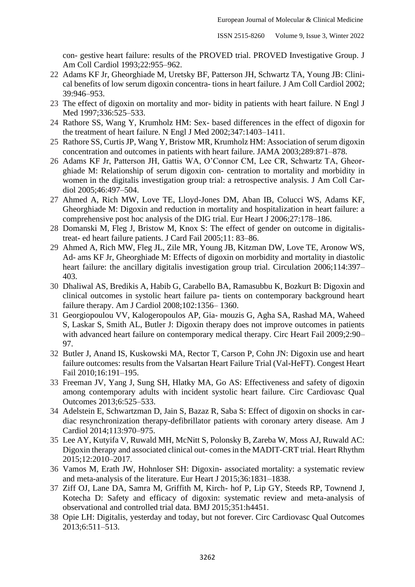con- gestive heart failure: results of the PROVED trial. PROVED Investigative Group. J Am Coll Cardiol 1993;22:955–962.

- 22 Adams KF Jr, Gheorghiade M, Uretsky BF, Patterson JH, Schwartz TA, Young JB: Clinical benefits of low serum digoxin concentra- tions in heart failure. J Am Coll Cardiol 2002; 39:946–953.
- 23 The effect of digoxin on mortality and mor- bidity in patients with heart failure. N Engl J Med 1997:336:525-533.
- 24 Rathore SS, Wang Y, Krumholz HM: Sex- based differences in the effect of digoxin for the treatment of heart failure. N Engl J Med 2002;347:1403–1411.
- 25 Rathore SS, Curtis JP, Wang Y, Bristow MR, Krumholz HM: Association of serum digoxin concentration and outcomes in patients with heart failure. JAMA 2003;289:871–878.
- 26 Adams KF Jr, Patterson JH, Gattis WA, O'Connor CM, Lee CR, Schwartz TA, Gheorghiade M: Relationship of serum digoxin con- centration to mortality and morbidity in women in the digitalis investigation group trial: a retrospective analysis. J Am Coll Cardiol 2005;46:497–504.
- 27 Ahmed A, Rich MW, Love TE, Lloyd-Jones DM, Aban IB, Colucci WS, Adams KF, Gheorghiade M: Digoxin and reduction in mortality and hospitalization in heart failure: a comprehensive post hoc analysis of the DIG trial. Eur Heart J 2006;27:178–186.
- 28 Domanski M, Fleg J, Bristow M, Knox S: The effect of gender on outcome in digitalistreat- ed heart failure patients. J Card Fail 2005;11: 83–86.
- 29 Ahmed A, Rich MW, Fleg JL, Zile MR, Young JB, Kitzman DW, Love TE, Aronow WS, Ad- ams KF Jr, Gheorghiade M: Effects of digoxin on morbidity and mortality in diastolic heart failure: the ancillary digitalis investigation group trial. Circulation 2006;114:397-403.
- 30 Dhaliwal AS, Bredikis A, Habib G, Carabello BA, Ramasubbu K, Bozkurt B: Digoxin and clinical outcomes in systolic heart failure pa- tients on contemporary background heart failure therapy. Am J Cardiol 2008;102:1356– 1360.
- 31 Georgiopoulou VV, Kalogeropoulos AP, Gia- mouzis G, Agha SA, Rashad MA, Waheed S, Laskar S, Smith AL, Butler J: Digoxin therapy does not improve outcomes in patients with advanced heart failure on contemporary medical therapy. Circ Heart Fail 2009;2:90– 97.
- 32 Butler J, Anand IS, Kuskowski MA, Rector T, Carson P, Cohn JN: Digoxin use and heart failure outcomes: results from the Valsartan Heart Failure Trial (Val-HeFT). Congest Heart Fail 2010;16:191–195.
- 33 Freeman JV, Yang J, Sung SH, Hlatky MA, Go AS: Effectiveness and safety of digoxin among contemporary adults with incident systolic heart failure. Circ Cardiovasc Qual Outcomes 2013;6:525–533.
- 34 Adelstein E, Schwartzman D, Jain S, Bazaz R, Saba S: Effect of digoxin on shocks in cardiac resynchronization therapy-defibrillator patients with coronary artery disease. Am J Cardiol 2014;113:970–975.
- 35 Lee AY, Kutyifa V, Ruwald MH, McNitt S, Polonsky B, Zareba W, Moss AJ, Ruwald AC: Digoxin therapy and associated clinical out- comes in the MADIT-CRT trial. Heart Rhythm 2015;12:2010–2017.
- 36 Vamos M, Erath JW, Hohnloser SH: Digoxin- associated mortality: a systematic review and meta-analysis of the literature. Eur Heart J 2015;36:1831–1838.
- 37 Ziff OJ, Lane DA, Samra M, Griffith M, Kirch- hof P, Lip GY, Steeds RP, Townend J, Kotecha D: Safety and efficacy of digoxin: systematic review and meta-analysis of observational and controlled trial data. BMJ 2015;351:h4451.
- 38 Opie LH: Digitalis, yesterday and today, but not forever. Circ Cardiovasc Qual Outcomes 2013;6:511–513.